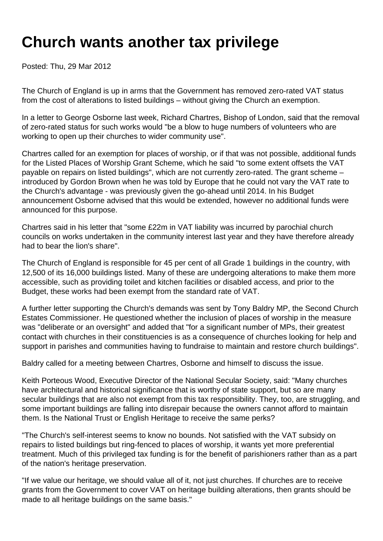## **Church wants another tax privilege**

Posted: Thu, 29 Mar 2012

The Church of England is up in arms that the Government has removed zero-rated VAT status from the cost of alterations to listed buildings – without giving the Church an exemption.

In a letter to George Osborne last week, Richard Chartres, Bishop of London, said that the removal of zero-rated status for such works would "be a blow to huge numbers of volunteers who are working to open up their churches to wider community use".

Chartres called for an exemption for places of worship, or if that was not possible, additional funds for the Listed Places of Worship Grant Scheme, which he said "to some extent offsets the VAT payable on repairs on listed buildings", which are not currently zero-rated. The grant scheme – introduced by Gordon Brown when he was told by Europe that he could not vary the VAT rate to the Church's advantage - was previously given the go-ahead until 2014. In his Budget announcement Osborne advised that this would be extended, however no additional funds were announced for this purpose.

Chartres said in his letter that "some £22m in VAT liability was incurred by parochial church councils on works undertaken in the community interest last year and they have therefore already had to bear the lion's share".

The Church of England is responsible for 45 per cent of all Grade 1 buildings in the country, with 12,500 of its 16,000 buildings listed. Many of these are undergoing alterations to make them more accessible, such as providing toilet and kitchen facilities or disabled access, and prior to the Budget, these works had been exempt from the standard rate of VAT.

A further letter supporting the Church's demands was sent by Tony Baldry MP, the Second Church Estates Commissioner. He questioned whether the inclusion of places of worship in the measure was "deliberate or an oversight" and added that "for a significant number of MPs, their greatest contact with churches in their constituencies is as a consequence of churches looking for help and support in parishes and communities having to fundraise to maintain and restore church buildings".

Baldry called for a meeting between Chartres, Osborne and himself to discuss the issue.

Keith Porteous Wood, Executive Director of the National Secular Society, said: "Many churches have architectural and historical significance that is worthy of state support, but so are many secular buildings that are also not exempt from this tax responsibility. They, too, are struggling, and some important buildings are falling into disrepair because the owners cannot afford to maintain them. Is the National Trust or English Heritage to receive the same perks?

"The Church's self-interest seems to know no bounds. Not satisfied with the VAT subsidy on repairs to listed buildings but ring-fenced to places of worship, it wants yet more preferential treatment. Much of this privileged tax funding is for the benefit of parishioners rather than as a part of the nation's heritage preservation.

"If we value our heritage, we should value all of it, not just churches. If churches are to receive grants from the Government to cover VAT on heritage building alterations, then grants should be made to all heritage buildings on the same basis."